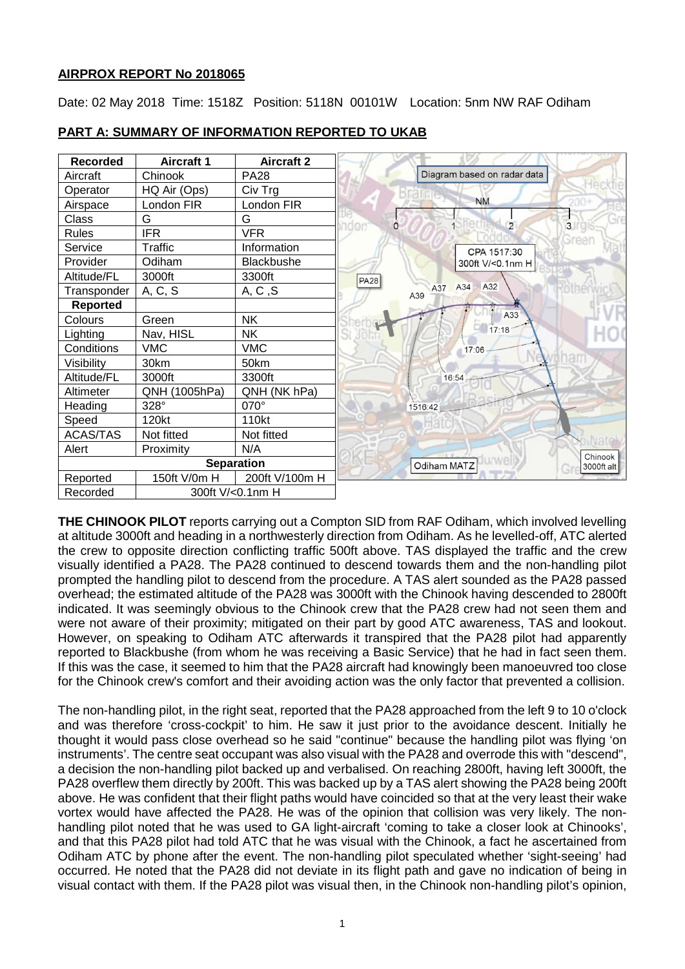# **AIRPROX REPORT No 2018065**

Date: 02 May 2018 Time: 1518Z Position: 5118N 00101W Location: 5nm NW RAF Odiham



### **PART A: SUMMARY OF INFORMATION REPORTED TO UKAB**

**THE CHINOOK PILOT** reports carrying out a Compton SID from RAF Odiham, which involved levelling at altitude 3000ft and heading in a northwesterly direction from Odiham. As he levelled-off, ATC alerted the crew to opposite direction conflicting traffic 500ft above. TAS displayed the traffic and the crew visually identified a PA28. The PA28 continued to descend towards them and the non-handling pilot prompted the handling pilot to descend from the procedure. A TAS alert sounded as the PA28 passed overhead; the estimated altitude of the PA28 was 3000ft with the Chinook having descended to 2800ft indicated. It was seemingly obvious to the Chinook crew that the PA28 crew had not seen them and were not aware of their proximity; mitigated on their part by good ATC awareness, TAS and lookout. However, on speaking to Odiham ATC afterwards it transpired that the PA28 pilot had apparently reported to Blackbushe (from whom he was receiving a Basic Service) that he had in fact seen them. If this was the case, it seemed to him that the PA28 aircraft had knowingly been manoeuvred too close for the Chinook crew's comfort and their avoiding action was the only factor that prevented a collision.

The non-handling pilot, in the right seat, reported that the PA28 approached from the left 9 to 10 o'clock and was therefore 'cross-cockpit' to him. He saw it just prior to the avoidance descent. Initially he thought it would pass close overhead so he said "continue" because the handling pilot was flying 'on instruments'. The centre seat occupant was also visual with the PA28 and overrode this with "descend", a decision the non-handling pilot backed up and verbalised. On reaching 2800ft, having left 3000ft, the PA28 overflew them directly by 200ft. This was backed up by a TAS alert showing the PA28 being 200ft above. He was confident that their flight paths would have coincided so that at the very least their wake vortex would have affected the PA28. He was of the opinion that collision was very likely. The nonhandling pilot noted that he was used to GA light-aircraft 'coming to take a closer look at Chinooks', and that this PA28 pilot had told ATC that he was visual with the Chinook, a fact he ascertained from Odiham ATC by phone after the event. The non-handling pilot speculated whether 'sight-seeing' had occurred. He noted that the PA28 did not deviate in its flight path and gave no indication of being in visual contact with them. If the PA28 pilot was visual then, in the Chinook non-handling pilot's opinion,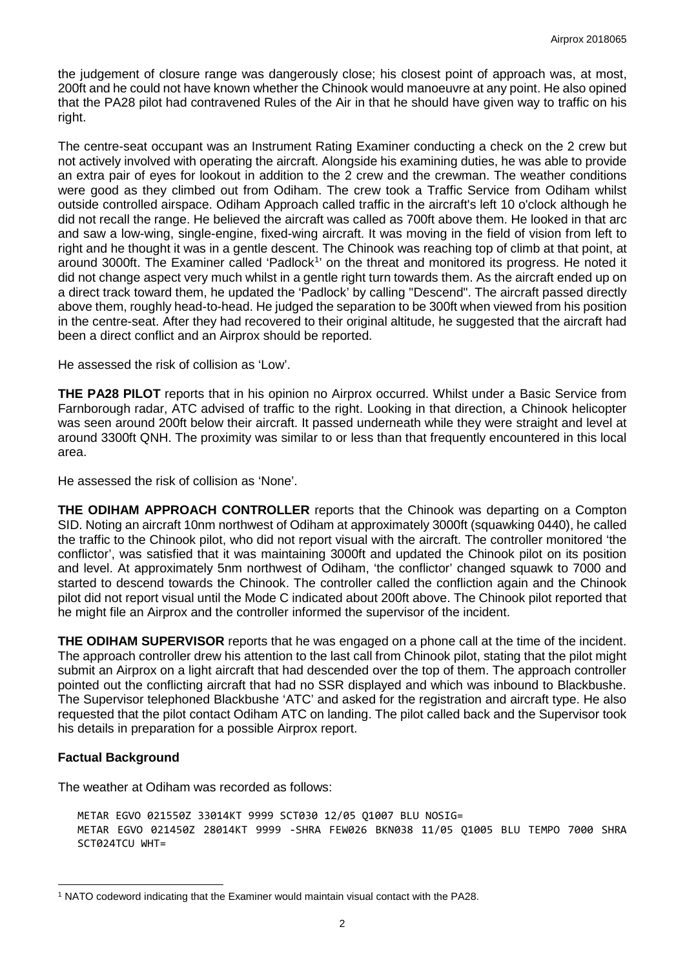the judgement of closure range was dangerously close; his closest point of approach was, at most, 200ft and he could not have known whether the Chinook would manoeuvre at any point. He also opined that the PA28 pilot had contravened Rules of the Air in that he should have given way to traffic on his right.

The centre-seat occupant was an Instrument Rating Examiner conducting a check on the 2 crew but not actively involved with operating the aircraft. Alongside his examining duties, he was able to provide an extra pair of eyes for lookout in addition to the 2 crew and the crewman. The weather conditions were good as they climbed out from Odiham. The crew took a Traffic Service from Odiham whilst outside controlled airspace. Odiham Approach called traffic in the aircraft's left 10 o'clock although he did not recall the range. He believed the aircraft was called as 700ft above them. He looked in that arc and saw a low-wing, single-engine, fixed-wing aircraft. It was moving in the field of vision from left to right and he thought it was in a gentle descent. The Chinook was reaching top of climb at that point, at around 3000ft. The Examiner called 'Padlock<sup>[1](#page-1-0)</sup>' on the threat and monitored its progress. He noted it did not change aspect very much whilst in a gentle right turn towards them. As the aircraft ended up on a direct track toward them, he updated the 'Padlock' by calling "Descend". The aircraft passed directly above them, roughly head-to-head. He judged the separation to be 300ft when viewed from his position in the centre-seat. After they had recovered to their original altitude, he suggested that the aircraft had been a direct conflict and an Airprox should be reported.

He assessed the risk of collision as 'Low'.

**THE PA28 PILOT** reports that in his opinion no Airprox occurred. Whilst under a Basic Service from Farnborough radar, ATC advised of traffic to the right. Looking in that direction, a Chinook helicopter was seen around 200ft below their aircraft. It passed underneath while they were straight and level at around 3300ft QNH. The proximity was similar to or less than that frequently encountered in this local area.

He assessed the risk of collision as 'None'.

**THE ODIHAM APPROACH CONTROLLER** reports that the Chinook was departing on a Compton SID. Noting an aircraft 10nm northwest of Odiham at approximately 3000ft (squawking 0440), he called the traffic to the Chinook pilot, who did not report visual with the aircraft. The controller monitored 'the conflictor', was satisfied that it was maintaining 3000ft and updated the Chinook pilot on its position and level. At approximately 5nm northwest of Odiham, 'the conflictor' changed squawk to 7000 and started to descend towards the Chinook. The controller called the confliction again and the Chinook pilot did not report visual until the Mode C indicated about 200ft above. The Chinook pilot reported that he might file an Airprox and the controller informed the supervisor of the incident.

**THE ODIHAM SUPERVISOR** reports that he was engaged on a phone call at the time of the incident. The approach controller drew his attention to the last call from Chinook pilot, stating that the pilot might submit an Airprox on a light aircraft that had descended over the top of them. The approach controller pointed out the conflicting aircraft that had no SSR displayed and which was inbound to Blackbushe. The Supervisor telephoned Blackbushe 'ATC' and asked for the registration and aircraft type. He also requested that the pilot contact Odiham ATC on landing. The pilot called back and the Supervisor took his details in preparation for a possible Airprox report.

# **Factual Background**

 $\overline{\phantom{a}}$ 

The weather at Odiham was recorded as follows:

```
METAR EGVO 021550Z 33014KT 9999 SCT030 12/05 Q1007 BLU NOSIG=
METAR EGVO 021450Z 28014KT 9999 -SHRA FEW026 BKN038 11/05 Q1005 BLU TEMPO 7000 SHRA 
SCT024TCU WHT=
```
<span id="page-1-0"></span><sup>1</sup> NATO codeword indicating that the Examiner would maintain visual contact with the PA28.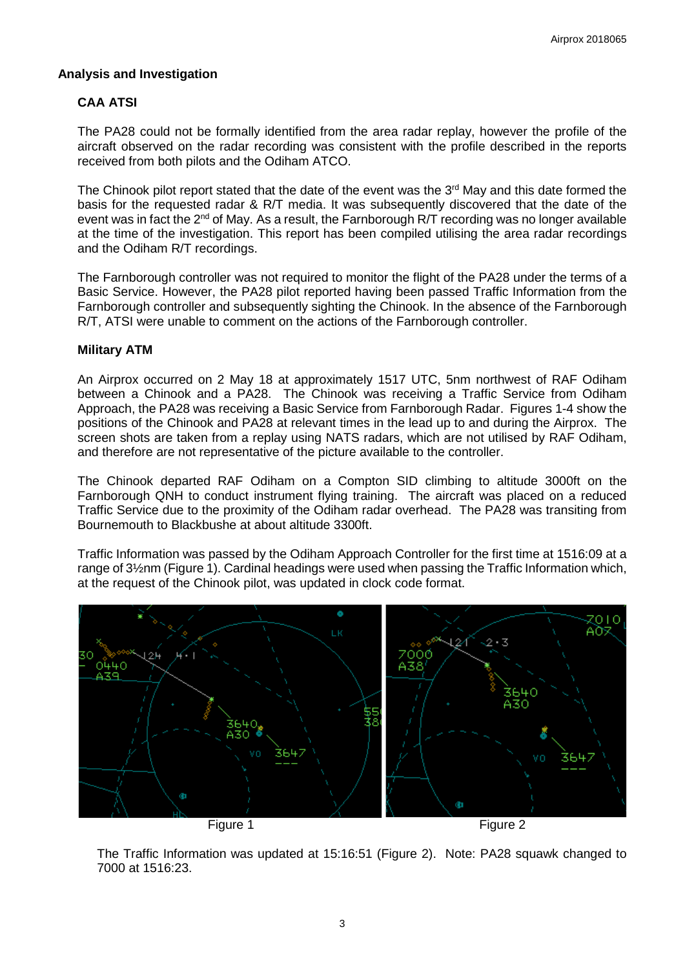### **Analysis and Investigation**

# **CAA ATSI**

The PA28 could not be formally identified from the area radar replay, however the profile of the aircraft observed on the radar recording was consistent with the profile described in the reports received from both pilots and the Odiham ATCO.

The Chinook pilot report stated that the date of the event was the  $3<sup>rd</sup>$  May and this date formed the basis for the requested radar & R/T media. It was subsequently discovered that the date of the event was in fact the  $2^{nd}$  of May. As a result, the Farnborough R/T recording was no longer available at the time of the investigation. This report has been compiled utilising the area radar recordings and the Odiham R/T recordings.

The Farnborough controller was not required to monitor the flight of the PA28 under the terms of a Basic Service. However, the PA28 pilot reported having been passed Traffic Information from the Farnborough controller and subsequently sighting the Chinook. In the absence of the Farnborough R/T, ATSI were unable to comment on the actions of the Farnborough controller.

#### **Military ATM**

An Airprox occurred on 2 May 18 at approximately 1517 UTC, 5nm northwest of RAF Odiham between a Chinook and a PA28. The Chinook was receiving a Traffic Service from Odiham Approach, the PA28 was receiving a Basic Service from Farnborough Radar. Figures 1-4 show the positions of the Chinook and PA28 at relevant times in the lead up to and during the Airprox. The screen shots are taken from a replay using NATS radars, which are not utilised by RAF Odiham, and therefore are not representative of the picture available to the controller.

The Chinook departed RAF Odiham on a Compton SID climbing to altitude 3000ft on the Farnborough QNH to conduct instrument flying training. The aircraft was placed on a reduced Traffic Service due to the proximity of the Odiham radar overhead. The PA28 was transiting from Bournemouth to Blackbushe at about altitude 3300ft.

Traffic Information was passed by the Odiham Approach Controller for the first time at 1516:09 at a range of 3½nm (Figure 1). Cardinal headings were used when passing the Traffic Information which, at the request of the Chinook pilot, was updated in clock code format.



The Traffic Information was updated at 15:16:51 (Figure 2). Note: PA28 squawk changed to 7000 at 1516:23.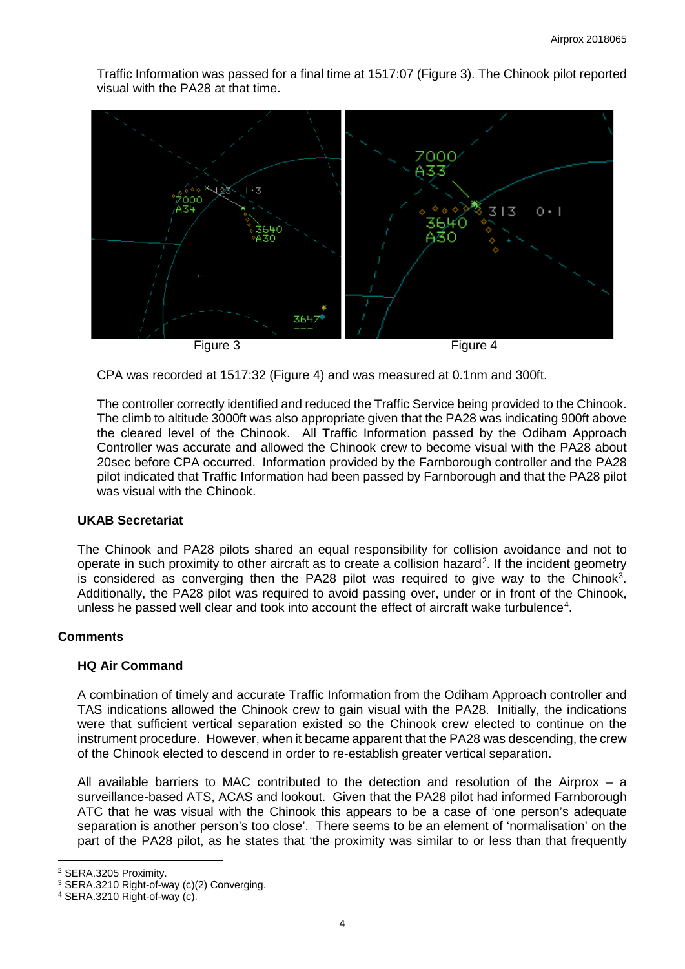Traffic Information was passed for a final time at 1517:07 (Figure 3). The Chinook pilot reported visual with the PA28 at that time.



CPA was recorded at 1517:32 (Figure 4) and was measured at 0.1nm and 300ft.

The controller correctly identified and reduced the Traffic Service being provided to the Chinook. The climb to altitude 3000ft was also appropriate given that the PA28 was indicating 900ft above the cleared level of the Chinook. All Traffic Information passed by the Odiham Approach Controller was accurate and allowed the Chinook crew to become visual with the PA28 about 20sec before CPA occurred. Information provided by the Farnborough controller and the PA28 pilot indicated that Traffic Information had been passed by Farnborough and that the PA28 pilot was visual with the Chinook.

#### **UKAB Secretariat**

The Chinook and PA28 pilots shared an equal responsibility for collision avoidance and not to operate in such proximity to other aircraft as to create a collision hazard<sup>[2](#page-3-0)</sup>. If the incident geometry is considered as converging then the PA28 pilot was required to give way to the Chinook<sup>[3](#page-3-1)</sup>. Additionally, the PA28 pilot was required to avoid passing over, under or in front of the Chinook, unless he passed well clear and took into account the effect of aircraft wake turbulence<sup>[4](#page-3-2)</sup>.

#### **Comments**

#### **HQ Air Command**

A combination of timely and accurate Traffic Information from the Odiham Approach controller and TAS indications allowed the Chinook crew to gain visual with the PA28. Initially, the indications were that sufficient vertical separation existed so the Chinook crew elected to continue on the instrument procedure. However, when it became apparent that the PA28 was descending, the crew of the Chinook elected to descend in order to re-establish greater vertical separation.

All available barriers to MAC contributed to the detection and resolution of the Airprox – a surveillance-based ATS, ACAS and lookout. Given that the PA28 pilot had informed Farnborough ATC that he was visual with the Chinook this appears to be a case of 'one person's adequate separation is another person's too close'. There seems to be an element of 'normalisation' on the part of the PA28 pilot, as he states that 'the proximity was similar to or less than that frequently

 $\overline{\phantom{a}}$ <sup>2</sup> SERA.3205 Proximity.

<span id="page-3-1"></span><span id="page-3-0"></span><sup>3</sup> SERA.3210 Right-of-way (c)(2) Converging.

<span id="page-3-2"></span><sup>4</sup> SERA.3210 Right-of-way (c).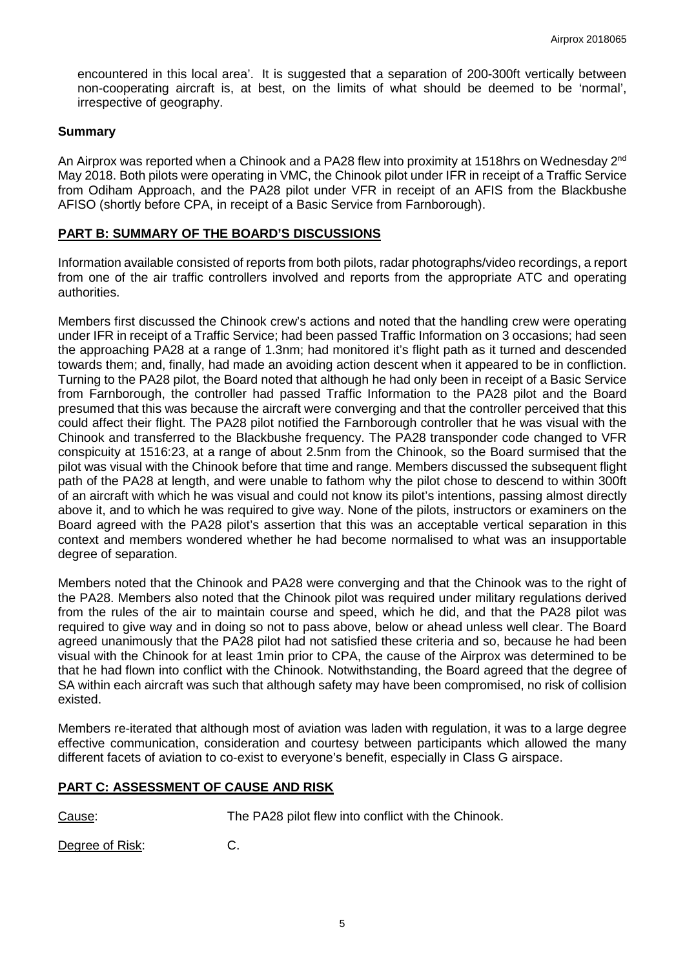encountered in this local area'. It is suggested that a separation of 200-300ft vertically between non-cooperating aircraft is, at best, on the limits of what should be deemed to be 'normal', irrespective of geography.

### **Summary**

An Airprox was reported when a Chinook and a PA28 flew into proximity at 1518hrs on Wednesday 2<sup>nd</sup> May 2018. Both pilots were operating in VMC, the Chinook pilot under IFR in receipt of a Traffic Service from Odiham Approach, and the PA28 pilot under VFR in receipt of an AFIS from the Blackbushe AFISO (shortly before CPA, in receipt of a Basic Service from Farnborough).

# **PART B: SUMMARY OF THE BOARD'S DISCUSSIONS**

Information available consisted of reports from both pilots, radar photographs/video recordings, a report from one of the air traffic controllers involved and reports from the appropriate ATC and operating authorities.

Members first discussed the Chinook crew's actions and noted that the handling crew were operating under IFR in receipt of a Traffic Service; had been passed Traffic Information on 3 occasions; had seen the approaching PA28 at a range of 1.3nm; had monitored it's flight path as it turned and descended towards them; and, finally, had made an avoiding action descent when it appeared to be in confliction. Turning to the PA28 pilot, the Board noted that although he had only been in receipt of a Basic Service from Farnborough, the controller had passed Traffic Information to the PA28 pilot and the Board presumed that this was because the aircraft were converging and that the controller perceived that this could affect their flight. The PA28 pilot notified the Farnborough controller that he was visual with the Chinook and transferred to the Blackbushe frequency. The PA28 transponder code changed to VFR conspicuity at 1516:23, at a range of about 2.5nm from the Chinook, so the Board surmised that the pilot was visual with the Chinook before that time and range. Members discussed the subsequent flight path of the PA28 at length, and were unable to fathom why the pilot chose to descend to within 300ft of an aircraft with which he was visual and could not know its pilot's intentions, passing almost directly above it, and to which he was required to give way. None of the pilots, instructors or examiners on the Board agreed with the PA28 pilot's assertion that this was an acceptable vertical separation in this context and members wondered whether he had become normalised to what was an insupportable degree of separation.

Members noted that the Chinook and PA28 were converging and that the Chinook was to the right of the PA28. Members also noted that the Chinook pilot was required under military regulations derived from the rules of the air to maintain course and speed, which he did, and that the PA28 pilot was required to give way and in doing so not to pass above, below or ahead unless well clear. The Board agreed unanimously that the PA28 pilot had not satisfied these criteria and so, because he had been visual with the Chinook for at least 1min prior to CPA, the cause of the Airprox was determined to be that he had flown into conflict with the Chinook. Notwithstanding, the Board agreed that the degree of SA within each aircraft was such that although safety may have been compromised, no risk of collision existed.

Members re-iterated that although most of aviation was laden with regulation, it was to a large degree effective communication, consideration and courtesy between participants which allowed the many different facets of aviation to co-exist to everyone's benefit, especially in Class G airspace.

# **PART C: ASSESSMENT OF CAUSE AND RISK**

Cause: The PA28 pilot flew into conflict with the Chinook.

Degree of Risk: C.